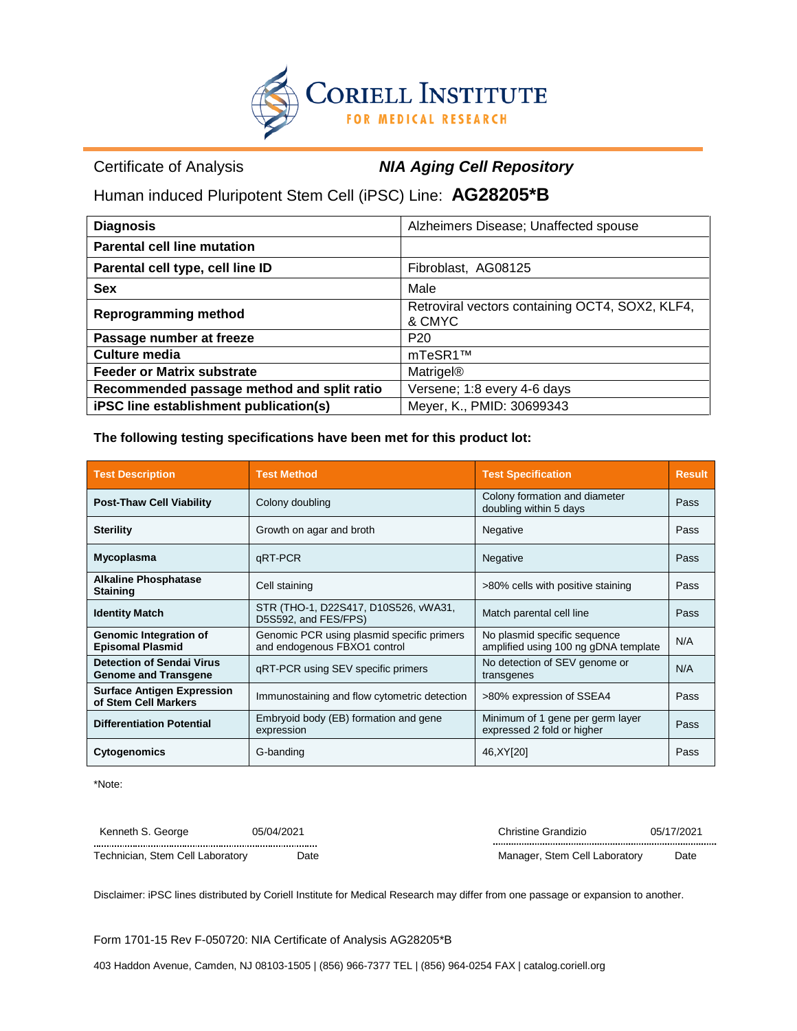

Certificate of Analysis *NIA Aging Cell Repository*

Human induced Pluripotent Stem Cell (iPSC) Line: **AG28205\*B**

| <b>Diagnosis</b>                           | Alzheimers Disease; Unaffected spouse                     |
|--------------------------------------------|-----------------------------------------------------------|
| <b>Parental cell line mutation</b>         |                                                           |
| Parental cell type, cell line ID           | Fibroblast, AG08125                                       |
| <b>Sex</b>                                 | Male                                                      |
| <b>Reprogramming method</b>                | Retroviral vectors containing OCT4, SOX2, KLF4,<br>& CMYC |
| Passage number at freeze                   | P <sub>20</sub>                                           |
| Culture media                              | mTeSR1™                                                   |
| <b>Feeder or Matrix substrate</b>          | <b>Matrigel®</b>                                          |
| Recommended passage method and split ratio | Versene; 1:8 every 4-6 days                               |
| iPSC line establishment publication(s)     | Meyer, K., PMID: 30699343                                 |

**The following testing specifications have been met for this product lot:**

| <b>Test Description</b>                                                                                                                              | <b>Test Method</b>                                                                                                                                 | <b>Test Specification</b>         | <b>Result</b> |  |
|------------------------------------------------------------------------------------------------------------------------------------------------------|----------------------------------------------------------------------------------------------------------------------------------------------------|-----------------------------------|---------------|--|
| <b>Post-Thaw Cell Viability</b>                                                                                                                      | Colony formation and diameter<br>Colony doubling<br>doubling within 5 days                                                                         |                                   | Pass          |  |
| <b>Sterility</b>                                                                                                                                     | Growth on agar and broth                                                                                                                           | Negative                          | Pass          |  |
| Mycoplasma                                                                                                                                           | qRT-PCR<br>Negative                                                                                                                                |                                   | Pass          |  |
| <b>Alkaline Phosphatase</b><br><b>Staining</b>                                                                                                       | Cell staining                                                                                                                                      | >80% cells with positive staining |               |  |
| <b>Identity Match</b>                                                                                                                                | STR (THO-1, D22S417, D10S526, vWA31,<br>Match parental cell line<br>D5S592, and FES/FPS)                                                           |                                   | Pass          |  |
| <b>Genomic Integration of</b><br><b>Episomal Plasmid</b>                                                                                             | Genomic PCR using plasmid specific primers<br>No plasmid specific sequence<br>and endogenous FBXO1 control<br>amplified using 100 ng gDNA template |                                   | N/A           |  |
| <b>Detection of Sendai Virus</b><br>No detection of SEV genome or<br>gRT-PCR using SEV specific primers<br><b>Genome and Transgene</b><br>transgenes |                                                                                                                                                    |                                   | N/A           |  |
| <b>Surface Antigen Expression</b><br>of Stem Cell Markers                                                                                            | Immunostaining and flow cytometric detection<br>>80% expression of SSEA4                                                                           |                                   | Pass          |  |
| <b>Differentiation Potential</b>                                                                                                                     | Embryoid body (EB) formation and gene<br>Minimum of 1 gene per germ layer<br>expressed 2 fold or higher<br>expression                              |                                   | Pass          |  |
| <b>Cytogenomics</b>                                                                                                                                  | G-banding                                                                                                                                          | 46, XY[20]                        | Pass          |  |

\*Note:

| 05/04/2021<br>Kenneth S. George  |      | Christine Grandizio           | 05/17/2021 |
|----------------------------------|------|-------------------------------|------------|
|                                  |      |                               |            |
| Technician, Stem Cell Laboratory | Date | Manager, Stem Cell Laboratory | Date       |

Disclaimer: iPSC lines distributed by Coriell Institute for Medical Research may differ from one passage or expansion to another.

Form 1701-15 Rev F-050720: NIA Certificate of Analysis AG28205\*B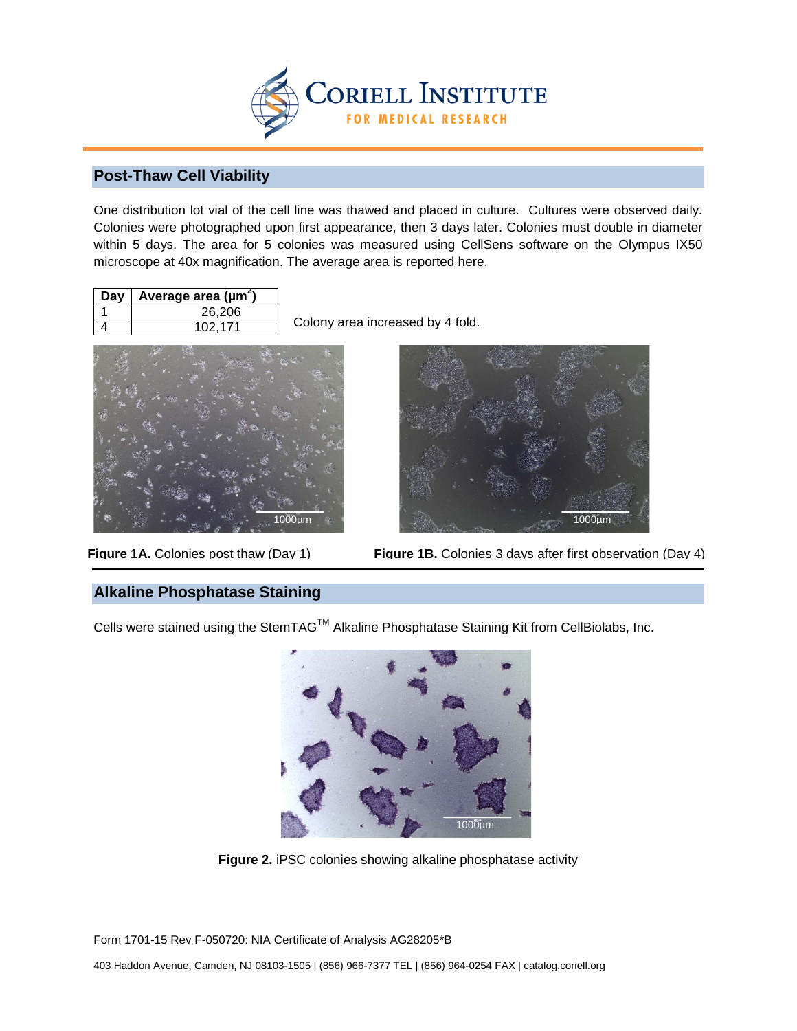

## **Post-Thaw Cell Viability**

One distribution lot vial of the cell line was thawed and placed in culture. Cultures were observed daily. Colonies were photographed upon first appearance, then 3 days later. Colonies must double in diameter within 5 days. The area for 5 colonies was measured using CellSens software on the Olympus IX50 microscope at 40x magnification. The average area is reported here.

| Day | Average area ( $\mu$ m <sup>2</sup> ) |
|-----|---------------------------------------|
|     | 26,206                                |
|     | 102.171                               |

Colony area increased by 4 fold.



Figure 1A. Colonies post thaw (Day 1)



**Figure 1B.** Colonies 3 days after first observation (Day 4)

## **Alkaline Phosphatase Staining**

Cells were stained using the StemTAGTM Alkaline Phosphatase Staining Kit from CellBiolabs, Inc.



**Figure 2.** iPSC colonies showing alkaline phosphatase activity

Form 1701-15 Rev F-050720: NIA Certificate of Analysis AG28205\*B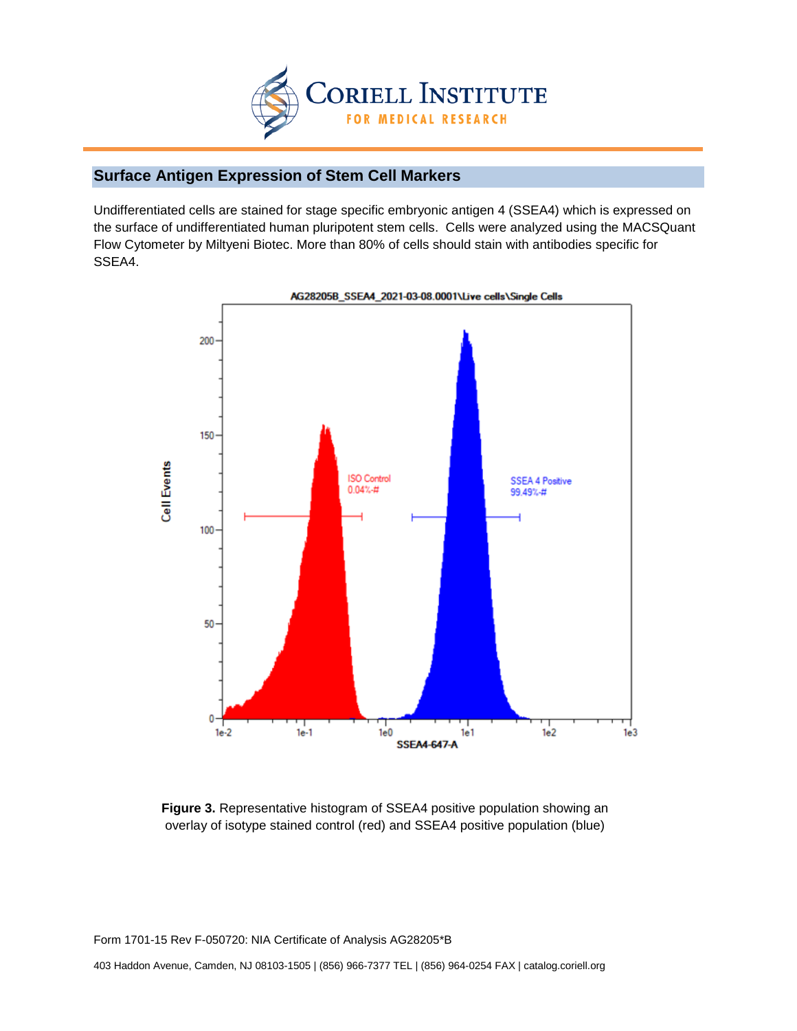

# **Surface Antigen Expression of Stem Cell Markers**

Undifferentiated cells are stained for stage specific embryonic antigen 4 (SSEA4) which is expressed on the surface of undifferentiated human pluripotent stem cells. Cells were analyzed using the MACSQuant Flow Cytometer by Miltyeni Biotec. More than 80% of cells should stain with antibodies specific for SSEA4.



AG28205B\_SSEA4\_2021-03-08.0001\Live cells\Single Cells

**Figure 3.** Representative histogram of SSEA4 positive population showing an overlay of isotype stained control (red) and SSEA4 positive population (blue)

Form 1701-15 Rev F-050720: NIA Certificate of Analysis AG28205\*B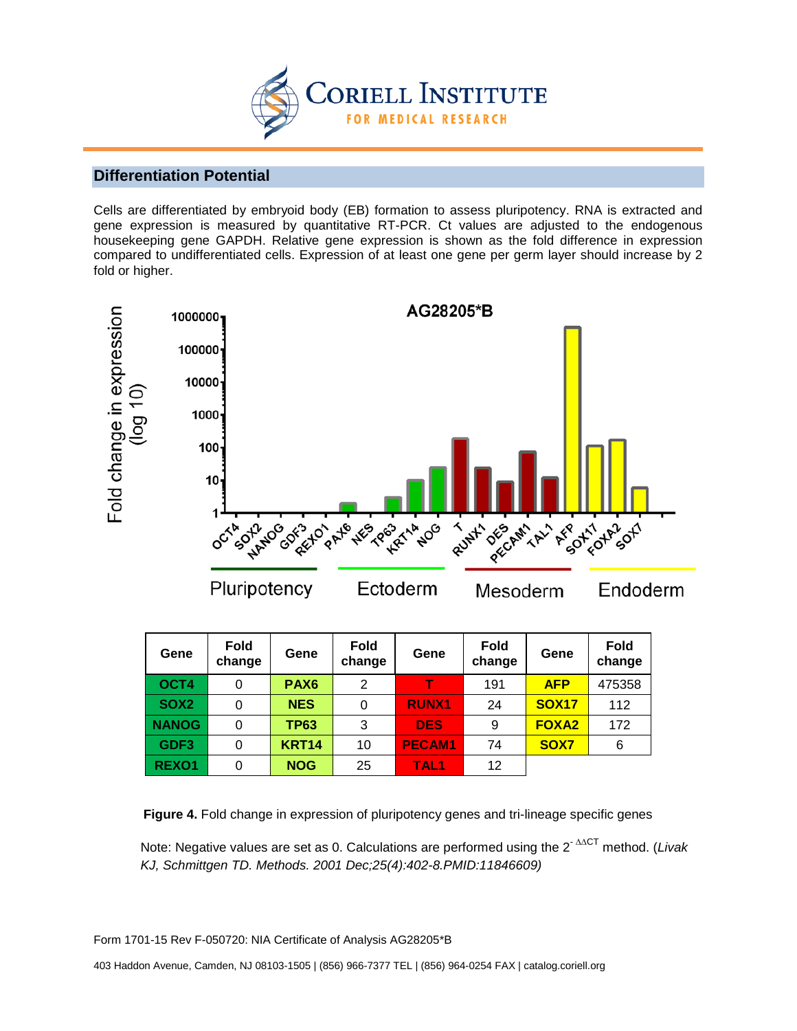

#### **Differentiation Potential**

Cells are differentiated by embryoid body (EB) formation to assess pluripotency. RNA is extracted and gene expression is measured by quantitative RT-PCR. Ct values are adjusted to the endogenous housekeeping gene GAPDH. Relative gene expression is shown as the fold difference in expression compared to undifferentiated cells. Expression of at least one gene per germ layer should increase by 2 fold or higher.



| Gene             | <b>Fold</b><br>change | Gene             | <b>Fold</b><br>change | Gene             | <b>Fold</b><br>change | Gene         | <b>Fold</b><br>change |
|------------------|-----------------------|------------------|-----------------------|------------------|-----------------------|--------------|-----------------------|
| OCT4             | 0                     | PAX <sub>6</sub> | 2                     |                  | 191                   | <b>AFP</b>   | 475358                |
| SOX <sub>2</sub> | 0                     | <b>NES</b>       | 0                     | <b>RUNX1</b>     | 24                    | <b>SOX17</b> | 112                   |
| <b>NANOG</b>     | 0                     | <b>TP63</b>      | 3                     | <b>DES</b>       | 9                     | <b>FOXA2</b> | 172                   |
| GDF <sub>3</sub> | 0                     | <b>KRT14</b>     | 10                    | <b>PECAM1</b>    | 74                    | SOX7         | 6                     |
| <b>REXO1</b>     | 0                     | <b>NOG</b>       | 25                    | TAL <sub>1</sub> | 12                    |              |                       |

**Figure 4.** Fold change in expression of pluripotency genes and tri-lineage specific genes

Note: Negative values are set as 0. Calculations are performed using the 2- ∆∆CT method. (*Livak KJ, Schmittgen TD. Methods. 2001 Dec;25(4):402-8.PMID:11846609)*